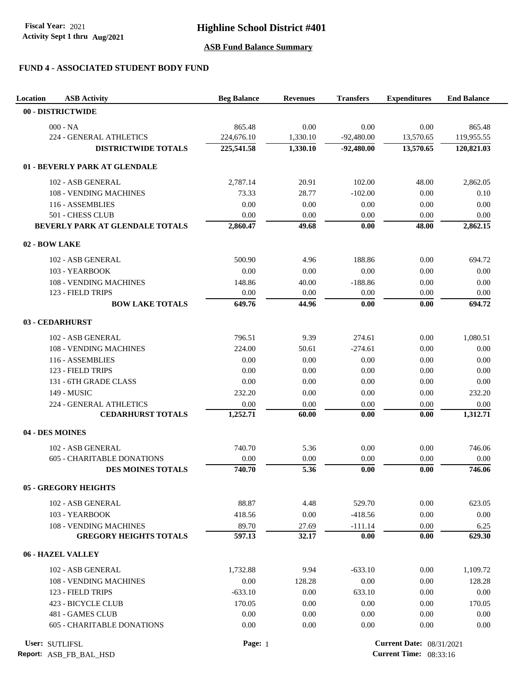# **FUND 4 - ASSOCIATED STUDENT BODY FUND**

| Location<br><b>ASB Activity</b>                     | <b>Beg Balance</b> | <b>Revenues</b> | <b>Transfers</b>                | <b>Expenditures</b> | <b>End Balance</b> |
|-----------------------------------------------------|--------------------|-----------------|---------------------------------|---------------------|--------------------|
| 00 - DISTRICTWIDE                                   |                    |                 |                                 |                     |                    |
| $000 - NA$                                          | 865.48             | 0.00            | 0.00                            | 0.00                | 865.48             |
| 224 - GENERAL ATHLETICS                             | 224,676.10         | 1,330.10        | $-92,480.00$                    | 13,570.65           | 119,955.55         |
| <b>DISTRICTWIDE TOTALS</b>                          | 225,541.58         | 1,330.10        | $-92,480.00$                    | 13,570.65           | 120,821.03         |
| 01 - BEVERLY PARK AT GLENDALE                       |                    |                 |                                 |                     |                    |
| 102 - ASB GENERAL                                   | 2,787.14           | 20.91           | 102.00                          | 48.00               | 2,862.05           |
| 108 - VENDING MACHINES                              | 73.33              | 28.77           | $-102.00$                       | 0.00                | 0.10               |
| 116 - ASSEMBLIES                                    | 0.00               | 0.00            | 0.00                            | 0.00                | 0.00               |
| 501 - CHESS CLUB                                    | 0.00               | 0.00            | 0.00                            | 0.00                | 0.00               |
| BEVERLY PARK AT GLENDALE TOTALS                     | 2,860.47           | 49.68           | 0.00                            | 48.00               | 2,862.15           |
| 02 - BOW LAKE                                       |                    |                 |                                 |                     |                    |
| 102 - ASB GENERAL                                   | 500.90             | 4.96            | 188.86                          | 0.00                | 694.72             |
| 103 - YEARBOOK                                      | 0.00               | 0.00            | 0.00                            | 0.00                | 0.00               |
| 108 - VENDING MACHINES                              | 148.86             | 40.00           | $-188.86$                       | 0.00                | 0.00               |
| 123 - FIELD TRIPS                                   | 0.00               | 0.00            | 0.00                            | 0.00                | 0.00               |
| <b>BOW LAKE TOTALS</b>                              | 649.76             | 44.96           | 0.00                            | 0.00                | 694.72             |
| 03 - CEDARHURST                                     |                    |                 |                                 |                     |                    |
|                                                     |                    |                 |                                 |                     |                    |
| 102 - ASB GENERAL                                   | 796.51             | 9.39            | 274.61                          | 0.00                | 1,080.51           |
| 108 - VENDING MACHINES                              | 224.00             | 50.61           | $-274.61$                       | 0.00                | 0.00               |
| 116 - ASSEMBLIES<br>123 - FIELD TRIPS               | 0.00<br>0.00       | 0.00<br>0.00    | 0.00<br>0.00                    | 0.00<br>0.00        | 0.00<br>0.00       |
|                                                     |                    |                 |                                 |                     |                    |
| 131 - 6TH GRADE CLASS<br>149 - MUSIC                | 0.00<br>232.20     | 0.00<br>0.00    | 0.00                            | 0.00                | 0.00<br>232.20     |
|                                                     |                    |                 | 0.00                            | 0.00                |                    |
| 224 - GENERAL ATHLETICS<br><b>CEDARHURST TOTALS</b> | 0.00<br>1,252.71   | 0.00<br>60.00   | 0.00<br>0.00                    | 0.00<br>0.00        | 0.00<br>1,312.71   |
|                                                     |                    |                 |                                 |                     |                    |
| 04 - DES MOINES                                     |                    |                 |                                 |                     |                    |
| 102 - ASB GENERAL                                   | 740.70             | 5.36            | 0.00                            | 0.00                | 746.06             |
| <b>605 - CHARITABLE DONATIONS</b>                   | 0.00               | 0.00            | 0.00                            | 0.00                | 0.00               |
| <b>DES MOINES TOTALS</b>                            | 740.70             | 5.36            | 0.00                            | 0.00                | 746.06             |
| <b>05 - GREGORY HEIGHTS</b>                         |                    |                 |                                 |                     |                    |
| 102 - ASB GENERAL                                   | 88.87              | 4.48            | 529.70                          | 0.00                | 623.05             |
| 103 - YEARBOOK                                      | 418.56             | 0.00            | $-418.56$                       | 0.00                | 0.00               |
| 108 - VENDING MACHINES                              | 89.70              | 27.69           | $-111.14$                       | 0.00                | 6.25               |
| <b>GREGORY HEIGHTS TOTALS</b>                       | 597.13             | 32.17           | 0.00                            | 0.00                | 629.30             |
| 06 - HAZEL VALLEY                                   |                    |                 |                                 |                     |                    |
| 102 - ASB GENERAL                                   | 1,732.88           | 9.94            | $-633.10$                       | 0.00                | 1,109.72           |
| 108 - VENDING MACHINES                              | 0.00               | 128.28          | 0.00                            | 0.00                | 128.28             |
| 123 - FIELD TRIPS                                   | $-633.10$          | 0.00            | 633.10                          | 0.00                | 0.00               |
| 423 - BICYCLE CLUB                                  | 170.05             | 0.00            | 0.00                            | 0.00                | 170.05             |
| 481 - GAMES CLUB                                    | 0.00               | 0.00            | 0.00                            | 0.00                | 0.00               |
| <b>605 - CHARITABLE DONATIONS</b>                   | 0.00               | 0.00            | 0.00                            | 0.00                | 0.00               |
| User: SUTLIFSL                                      | Page: 1            |                 | <b>Current Date: 08/31/2021</b> |                     |                    |

**Report:** ASB\_FB\_BAL\_HSD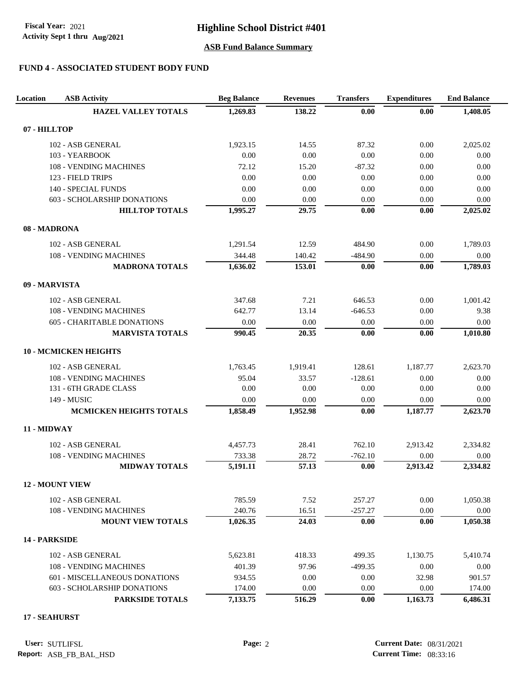Activity Sept 1 thru Aug/2021 **Fiscal Year:** 2021

### **Highline School District #401**

### **ASB Fund Balance Summary**

### **FUND 4 - ASSOCIATED STUDENT BODY FUND**

| Location      | <b>ASB Activity</b>               | <b>Beg Balance</b> | <b>Revenues</b> | <b>Transfers</b> | <b>Expenditures</b> | <b>End Balance</b> |
|---------------|-----------------------------------|--------------------|-----------------|------------------|---------------------|--------------------|
|               | <b>HAZEL VALLEY TOTALS</b>        | 1,269.83           | 138.22          | 0.00             | 0.00                | 1,408.05           |
| 07 - HILLTOP  |                                   |                    |                 |                  |                     |                    |
|               | 102 - ASB GENERAL                 | 1,923.15           | 14.55           | 87.32            | 0.00                | 2,025.02           |
|               | 103 - YEARBOOK                    | 0.00               | 0.00            | 0.00             | 0.00                | 0.00               |
|               | 108 - VENDING MACHINES            | 72.12              | 15.20           | $-87.32$         | 0.00                | 0.00               |
|               | 123 - FIELD TRIPS                 | 0.00               | 0.00            | 0.00             | 0.00                | 0.00               |
|               | 140 - SPECIAL FUNDS               | 0.00               | 0.00            | 0.00             | 0.00                | 0.00               |
|               | 603 - SCHOLARSHIP DONATIONS       | 0.00               | 0.00            | 0.00             | 0.00                | 0.00               |
|               | <b>HILLTOP TOTALS</b>             | 1,995.27           | 29.75           | 0.00             | 0.00                | 2,025.02           |
| 08 - MADRONA  |                                   |                    |                 |                  |                     |                    |
|               | 102 - ASB GENERAL                 | 1,291.54           | 12.59           | 484.90           | 0.00                | 1,789.03           |
|               | 108 - VENDING MACHINES            | 344.48             | 140.42          | $-484.90$        | 0.00                | 0.00               |
|               | <b>MADRONA TOTALS</b>             | 1,636.02           | 153.01          | 0.00             | 0.00                | 1,789.03           |
| 09 - MARVISTA |                                   |                    |                 |                  |                     |                    |
|               | 102 - ASB GENERAL                 | 347.68             | 7.21            | 646.53           | 0.00                | 1,001.42           |
|               | 108 - VENDING MACHINES            | 642.77             | 13.14           | $-646.53$        | 0.00                | 9.38               |
|               | <b>605 - CHARITABLE DONATIONS</b> | 0.00               | 0.00            | 0.00             | 0.00                | 0.00               |
|               | <b>MARVISTA TOTALS</b>            | 990.45             | 20.35           | 0.00             | 0.00                | 1,010.80           |
|               | <b>10 - MCMICKEN HEIGHTS</b>      |                    |                 |                  |                     |                    |
|               | 102 - ASB GENERAL                 | 1,763.45           | 1,919.41        | 128.61           | 1,187.77            | 2,623.70           |
|               | <b>108 - VENDING MACHINES</b>     | 95.04              | 33.57           | $-128.61$        | 0.00                | 0.00               |
|               | 131 - 6TH GRADE CLASS             | 0.00               | 0.00            | 0.00             | 0.00                | 0.00               |
|               | 149 - MUSIC                       | 0.00               | 0.00            | 0.00             | 0.00                | 0.00               |
|               | <b>MCMICKEN HEIGHTS TOTALS</b>    | 1,858.49           | 1,952.98        | 0.00             | 1,187.77            | 2,623.70           |
| 11 - MIDWAY   |                                   |                    |                 |                  |                     |                    |
|               | 102 - ASB GENERAL                 | 4,457.73           | 28.41           | 762.10           | 2,913.42            | 2,334.82           |
|               | 108 - VENDING MACHINES            | 733.38             | 28.72           | $-762.10$        | 0.00                | 0.00               |
|               | <b>MIDWAY TOTALS</b>              | 5,191.11           | 57.13           | 0.00             | 2,913.42            | 2,334.82           |
|               | <b>12 - MOUNT VIEW</b>            |                    |                 |                  |                     |                    |
|               | 102 - ASB GENERAL                 | 785.59             | 7.52            | 257.27           | 0.00                | 1,050.38           |
|               | <b>108 - VENDING MACHINES</b>     | 240.76             | 16.51           | $-257.27$        | 0.00                | 0.00               |
|               | <b>MOUNT VIEW TOTALS</b>          | 1,026.35           | 24.03           | 0.00             | 0.00                | 1,050.38           |
| 14 - PARKSIDE |                                   |                    |                 |                  |                     |                    |
|               | 102 - ASB GENERAL                 | 5,623.81           | 418.33          | 499.35           | 1,130.75            | 5,410.74           |
|               | 108 - VENDING MACHINES            | 401.39             | 97.96           | $-499.35$        | 0.00                | 0.00               |
|               | 601 - MISCELLANEOUS DONATIONS     | 934.55             | 0.00            | 0.00             | 32.98               | 901.57             |
|               | 603 - SCHOLARSHIP DONATIONS       | 174.00             | 0.00            | 0.00             | 0.00                | 174.00             |
|               | PARKSIDE TOTALS                   | 7,133.75           | 516.29          | 0.00             | 1,163.73            | 6,486.31           |

### **17 - SEAHURST**

**User: Page:** 2 **Current Date:** 08/31/2021 **Current Time:** 08:33:16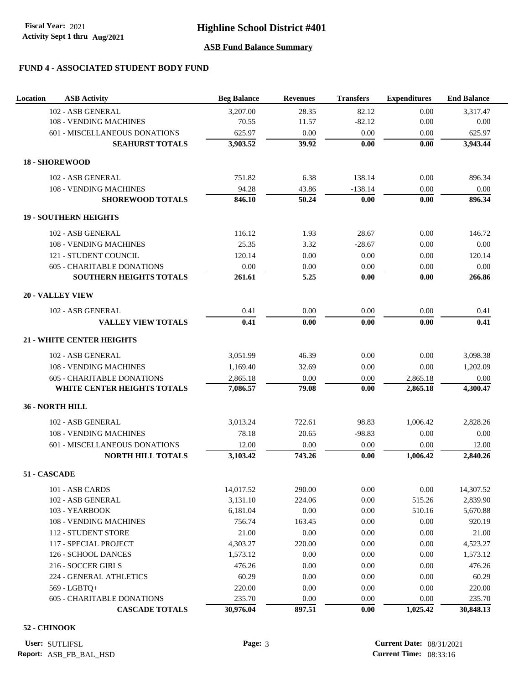Activity Sept 1 thru Aug/2021 **Fiscal Year:** 2021

# **Highline School District #401**

### **ASB Fund Balance Summary**

# **FUND 4 - ASSOCIATED STUDENT BODY FUND**

| Location | <b>ASB Activity</b>               | <b>Beg Balance</b> | <b>Revenues</b> | <b>Transfers</b> | <b>Expenditures</b> | <b>End Balance</b> |
|----------|-----------------------------------|--------------------|-----------------|------------------|---------------------|--------------------|
|          | 102 - ASB GENERAL                 | 3,207.00           | 28.35           | 82.12            | 0.00                | 3,317.47           |
|          | 108 - VENDING MACHINES            | 70.55              | 11.57           | $-82.12$         | 0.00                | 0.00               |
|          | 601 - MISCELLANEOUS DONATIONS     | 625.97             | 0.00            | 0.00             | 0.00                | 625.97             |
|          | <b>SEAHURST TOTALS</b>            | 3,903.52           | 39.92           | 0.00             | 0.00                | 3,943.44           |
|          | <b>18 - SHOREWOOD</b>             |                    |                 |                  |                     |                    |
|          | 102 - ASB GENERAL                 | 751.82             | 6.38            | 138.14           | 0.00                | 896.34             |
|          | 108 - VENDING MACHINES            | 94.28              | 43.86           | $-138.14$        | 0.00                | 0.00               |
|          | <b>SHOREWOOD TOTALS</b>           | 846.10             | 50.24           | 0.00             | 0.00                | 896.34             |
|          | <b>19 - SOUTHERN HEIGHTS</b>      |                    |                 |                  |                     |                    |
|          | 102 - ASB GENERAL                 | 116.12             | 1.93            | 28.67            | 0.00                | 146.72             |
|          | 108 - VENDING MACHINES            | 25.35              | 3.32            | $-28.67$         | 0.00                | 0.00               |
|          | 121 - STUDENT COUNCIL             | 120.14             | 0.00            | 0.00             | 0.00                | 120.14             |
|          | <b>605 - CHARITABLE DONATIONS</b> | 0.00               | 0.00            | 0.00             | 0.00                | 0.00               |
|          | SOUTHERN HEIGHTS TOTALS           | 261.61             | 5.25            | 0.00             | 0.00                | 266.86             |
|          | <b>20 - VALLEY VIEW</b>           |                    |                 |                  |                     |                    |
|          | 102 - ASB GENERAL                 | 0.41               | 0.00            | 0.00             | 0.00                | 0.41               |
|          | <b>VALLEY VIEW TOTALS</b>         | 0.41               | 0.00            | 0.00             | 0.00                | 0.41               |
|          | <b>21 - WHITE CENTER HEIGHTS</b>  |                    |                 |                  |                     |                    |
|          | 102 - ASB GENERAL                 | 3,051.99           | 46.39           | 0.00             | 0.00                | 3,098.38           |
|          | 108 - VENDING MACHINES            | 1,169.40           | 32.69           | 0.00             | 0.00                | 1,202.09           |
|          | <b>605 - CHARITABLE DONATIONS</b> | 2,865.18           | 0.00            | $0.00\,$         | 2,865.18            | 0.00               |
|          | WHITE CENTER HEIGHTS TOTALS       | 7,086.57           | 79.08           | 0.00             | 2,865.18            | 4,300.47           |
|          | 36 - NORTH HILL                   |                    |                 |                  |                     |                    |
|          | 102 - ASB GENERAL                 | 3,013.24           | 722.61          | 98.83            | 1,006.42            | 2,828.26           |
|          | 108 - VENDING MACHINES            | 78.18              | 20.65           | $-98.83$         | 0.00                | 0.00               |
|          | 601 - MISCELLANEOUS DONATIONS     | 12.00              | 0.00            | 0.00             | 0.00                | 12.00              |
|          | <b>NORTH HILL TOTALS</b>          | 3,103.42           | 743.26          | 0.00             | 1,006.42            | 2,840.26           |
|          | 51 - CASCADE                      |                    |                 |                  |                     |                    |
|          | 101 - ASB CARDS                   | 14,017.52          | 290.00          | $0.00\,$         | 0.00                | 14,307.52          |
|          | 102 - ASB GENERAL                 | 3,131.10           | 224.06          | $0.00\,$         | 515.26              | 2,839.90           |
|          | 103 - YEARBOOK                    | 6,181.04           | 0.00            | 0.00             | 510.16              | 5,670.88           |
|          | 108 - VENDING MACHINES            | 756.74             | 163.45          | 0.00             | 0.00                | 920.19             |
|          | 112 - STUDENT STORE               | 21.00              | 0.00            | 0.00             | 0.00                | 21.00              |
|          | 117 - SPECIAL PROJECT             | 4,303.27           | 220.00          | 0.00             | 0.00                | 4,523.27           |
|          | 126 - SCHOOL DANCES               | 1,573.12           | 0.00            | $0.00\,$         | 0.00                | 1,573.12           |
|          | 216 - SOCCER GIRLS                | 476.26             | 0.00            | 0.00             | 0.00                | 476.26             |
|          | 224 - GENERAL ATHLETICS           | 60.29              | 0.00            | 0.00             | 0.00                | 60.29              |
|          | 569 - LGBTQ+                      | 220.00             | 0.00            | 0.00             | 0.00                | 220.00             |
|          | 605 - CHARITABLE DONATIONS        | 235.70             | 0.00            | $0.00\,$         | 0.00                | 235.70             |
|          | <b>CASCADE TOTALS</b>             | 30,976.04          | 897.51          | 0.00             | 1,025.42            | 30,848.13          |

#### **52 - CHINOOK**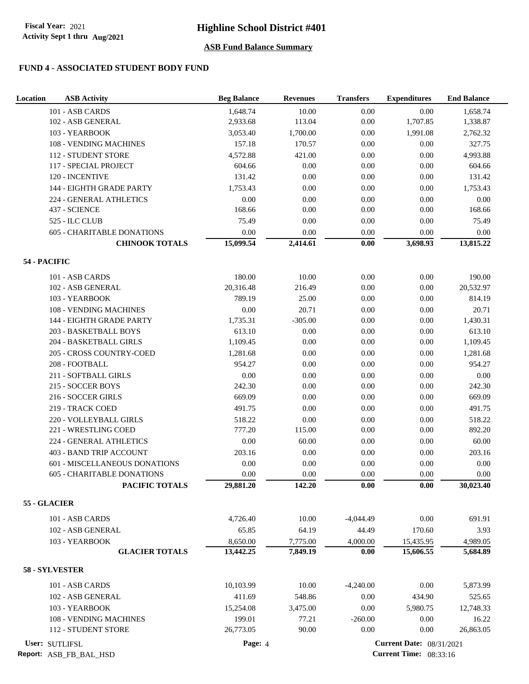### **FUND 4 - ASSOCIATED STUDENT BODY FUND**

| Location       | <b>ASB Activity</b>               | <b>Beg Balance</b> | <b>Revenues</b> | <b>Transfers</b> | <b>Expenditures</b>             | <b>End Balance</b> |
|----------------|-----------------------------------|--------------------|-----------------|------------------|---------------------------------|--------------------|
|                | 101 - ASB CARDS                   | 1,648.74           | 10.00           | 0.00             | 0.00                            | 1,658.74           |
|                | 102 - ASB GENERAL                 | 2,933.68           | 113.04          | 0.00             | 1,707.85                        | 1,338.87           |
|                | 103 - YEARBOOK                    | 3,053.40           | 1,700.00        | 0.00             | 1,991.08                        | 2,762.32           |
|                | 108 - VENDING MACHINES            | 157.18             | 170.57          | $0.00\,$         | $0.00\,$                        | 327.75             |
|                | 112 - STUDENT STORE               | 4,572.88           | 421.00          | $0.00\,$         | 0.00                            | 4,993.88           |
|                | 117 - SPECIAL PROJECT             | 604.66             | 0.00            | 0.00             | 0.00                            | 604.66             |
|                | 120 - INCENTIVE                   | 131.42             | 0.00            | 0.00             | 0.00                            | 131.42             |
|                | 144 - EIGHTH GRADE PARTY          | 1,753.43           | 0.00            | $0.00\,$         | 0.00                            | 1,753.43           |
|                | 224 - GENERAL ATHLETICS           | 0.00               | 0.00            | 0.00             | 0.00                            | $0.00\,$           |
|                | 437 - SCIENCE                     | 168.66             | 0.00            | 0.00             | 0.00                            | 168.66             |
|                | 525 - ILC CLUB                    | 75.49              | 0.00            | $0.00\,$         | 0.00                            | 75.49              |
|                | <b>605 - CHARITABLE DONATIONS</b> | $0.00\,$           | 0.00            | $0.00\,$         | $0.00\,$                        | 0.00               |
|                | <b>CHINOOK TOTALS</b>             | 15,099.54          | 2,414.61        | $0.00\,$         | 3,698.93                        | 13,815.22          |
| 54 - PACIFIC   |                                   |                    |                 |                  |                                 |                    |
|                |                                   |                    |                 |                  |                                 |                    |
|                | 101 - ASB CARDS                   | 180.00             | 10.00           | 0.00             | 0.00                            | 190.00             |
|                | 102 - ASB GENERAL                 | 20,316.48          | 216.49          | 0.00             | 0.00                            | 20,532.97          |
|                | 103 - YEARBOOK                    | 789.19             | 25.00           | $0.00\,$         | 0.00                            | 814.19             |
|                | <b>108 - VENDING MACHINES</b>     | $0.00\,$           | 20.71           | $0.00\,$         | 0.00                            | 20.71              |
|                | 144 - EIGHTH GRADE PARTY          | 1,735.31           | $-305.00$       | $0.00\,$         | 0.00                            | 1,430.31           |
|                | 203 - BASKETBALL BOYS             | 613.10             | 0.00            | $0.00\,$         | 0.00                            | 613.10             |
|                | 204 - BASKETBALL GIRLS            | 1,109.45           | 0.00            | 0.00             | 0.00                            | 1,109.45           |
|                | 205 - CROSS COUNTRY-COED          | 1,281.68           | 0.00            | 0.00             | 0.00                            | 1,281.68           |
|                | 208 - FOOTBALL                    | 954.27             | 0.00            | $0.00\,$         | 0.00                            | 954.27             |
|                | 211 - SOFTBALL GIRLS              | 0.00               | 0.00            | 0.00             | 0.00                            | $0.00\,$           |
|                | 215 - SOCCER BOYS                 | 242.30             | 0.00            | 0.00             | 0.00                            | 242.30             |
|                | 216 - SOCCER GIRLS                | 669.09             | 0.00            | $0.00\,$         | 0.00                            | 669.09             |
|                | 219 - TRACK COED                  | 491.75             | 0.00            | $0.00\,$         | $0.00\,$                        | 491.75             |
|                | 220 - VOLLEYBALL GIRLS            | 518.22             | 0.00            | $0.00\,$         | 0.00                            | 518.22             |
|                | 221 - WRESTLING COED              | 777.20             | 115.00          | 0.00             | 0.00                            | 892.20             |
|                | 224 - GENERAL ATHLETICS           | 0.00               | 60.00           | 0.00             | 0.00                            | 60.00              |
|                | 403 - BAND TRIP ACCOUNT           | 203.16             | 0.00            | 0.00             | 0.00                            | 203.16             |
|                | 601 - MISCELLANEOUS DONATIONS     | 0.00               | 0.00            | 0.00             | 0.00                            | 0.00               |
|                | <b>605 - CHARITABLE DONATIONS</b> | 0.00               | 0.00            | 0.00             | 0.00                            | 0.00               |
|                | PACIFIC TOTALS                    | 29,881.20          | 142.20          | $0.00\,$         | 0.00                            | 30,023.40          |
| 55 - GLACIER   |                                   |                    |                 |                  |                                 |                    |
|                | 101 - ASB CARDS                   | 4,726.40           | 10.00           | $-4,044.49$      | $0.00\,$                        | 691.91             |
|                | 102 - ASB GENERAL                 | 65.85              | 64.19           | 44.49            | 170.60                          | 3.93               |
|                | 103 - YEARBOOK                    | 8,650.00           | 7,775.00        | 4,000.00         | 15,435.95                       | 4,989.05           |
|                | <b>GLACIER TOTALS</b>             | 13,442.25          | 7,849.19        | 0.00             | 15,606.55                       | 5,684.89           |
| 58 - SYLVESTER |                                   |                    |                 |                  |                                 |                    |
|                | 101 - ASB CARDS                   | 10,103.99          | 10.00           | $-4,240.00$      | 0.00                            | 5,873.99           |
|                | 102 - ASB GENERAL                 | 411.69             | 548.86          | 0.00             | 434.90                          | 525.65             |
|                | 103 - YEARBOOK                    | 15,254.08          | 3,475.00        | 0.00             | 5,980.75                        | 12,748.33          |
|                | 108 - VENDING MACHINES            | 199.01             | 77.21           | $-260.00$        | 0.00                            | 16.22              |
|                | 112 - STUDENT STORE               | 26,773.05          | 90.00           | 0.00             | 0.00                            | 26,863.05          |
| User: SUTLIFSL |                                   | Page: 4            |                 |                  | <b>Current Date: 08/31/2021</b> |                    |
|                |                                   |                    |                 |                  |                                 |                    |

**Report:** ASB\_FB\_BAL\_HSD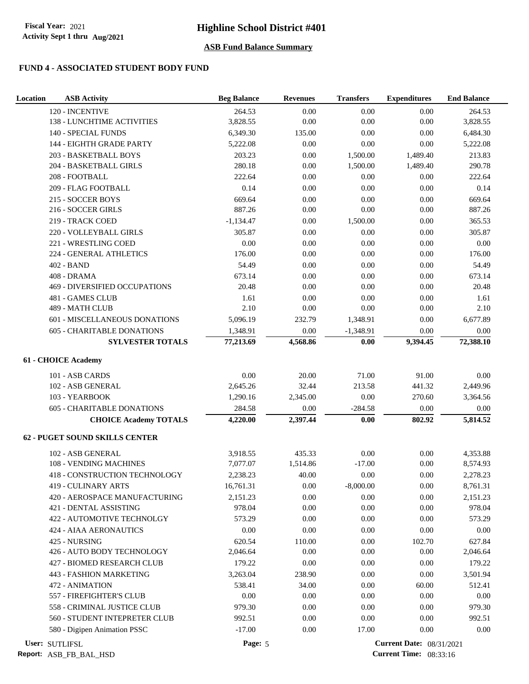### **FUND 4 - ASSOCIATED STUDENT BODY FUND**

| Location | <b>ASB Activity</b>                   | <b>Beg Balance</b> | <b>Revenues</b>  | <b>Transfers</b>  | <b>Expenditures</b>             | <b>End Balance</b> |
|----------|---------------------------------------|--------------------|------------------|-------------------|---------------------------------|--------------------|
|          | 120 - INCENTIVE                       | 264.53             | 0.00             | 0.00              | 0.00                            | 264.53             |
|          | 138 - LUNCHTIME ACTIVITIES            | 3,828.55           | 0.00             | 0.00              | 0.00                            | 3,828.55           |
|          | <b>140 - SPECIAL FUNDS</b>            | 6,349.30           | 135.00           | 0.00              | 0.00                            | 6,484.30           |
|          | 144 - EIGHTH GRADE PARTY              | 5,222.08           | 0.00             | 0.00              | $0.00\,$                        | 5,222.08           |
|          | 203 - BASKETBALL BOYS                 | 203.23             | $0.00\,$         | 1,500.00          | 1,489.40                        | 213.83             |
|          | 204 - BASKETBALL GIRLS                | 280.18             | 0.00             | 1,500.00          | 1,489.40                        | 290.78             |
|          | 208 - FOOTBALL                        | 222.64             | 0.00             | 0.00              | 0.00                            | 222.64             |
|          | 209 - FLAG FOOTBALL                   | 0.14               | 0.00             | 0.00              | 0.00                            | 0.14               |
|          | 215 - SOCCER BOYS                     | 669.64             | 0.00             | 0.00              | 0.00                            | 669.64             |
|          | 216 - SOCCER GIRLS                    | 887.26             | 0.00             | 0.00              | 0.00                            | 887.26             |
|          | 219 - TRACK COED                      | $-1,134.47$        | 0.00             | 1,500.00          | 0.00                            | 365.53             |
|          | 220 - VOLLEYBALL GIRLS                | 305.87             | $0.00\,$         | 0.00              | $0.00\,$                        | 305.87             |
|          | 221 - WRESTLING COED                  | 0.00               | 0.00             | 0.00              | 0.00                            | 0.00               |
|          | 224 - GENERAL ATHLETICS               | 176.00             | 0.00             | 0.00              | $0.00\,$                        | 176.00             |
|          | 402 - BAND                            | 54.49              | 0.00             | 0.00              | 0.00                            | 54.49              |
|          | 408 - DRAMA                           | 673.14             | 0.00             | 0.00              | 0.00                            | 673.14             |
|          | 469 - DIVERSIFIED OCCUPATIONS         | 20.48              | 0.00             | 0.00              | 0.00                            | 20.48              |
|          | 481 - GAMES CLUB                      | 1.61               | 0.00             | 0.00              | 0.00                            | 1.61               |
|          | 489 - MATH CLUB                       | 2.10               | 0.00             | 0.00              | 0.00                            | 2.10               |
|          | 601 - MISCELLANEOUS DONATIONS         | 5,096.19           | 232.79           | 1,348.91          | 0.00                            | 6,677.89           |
|          | <b>605 - CHARITABLE DONATIONS</b>     | 1,348.91           | $0.00\,$         | $-1,348.91$       | 0.00                            | 0.00               |
|          | <b>SYLVESTER TOTALS</b>               | 77,213.69          | 4,568.86         | 0.00              | 9,394.45                        | 72,388.10          |
|          | 61 - CHOICE Academy                   |                    |                  |                   |                                 |                    |
|          |                                       |                    |                  |                   |                                 |                    |
|          | 101 - ASB CARDS<br>102 - ASB GENERAL  | 0.00<br>2,645.26   | 20.00<br>32.44   | 71.00<br>213.58   | 91.00<br>441.32                 | 0.00<br>2,449.96   |
|          | 103 - YEARBOOK                        |                    |                  | 0.00              | 270.60                          |                    |
|          |                                       | 1,290.16           | 2,345.00         |                   |                                 | 3,364.56           |
|          | 605 - CHARITABLE DONATIONS            | 284.58             | 0.00<br>2,397.44 | $-284.58$<br>0.00 | $0.00\,$<br>802.92              | 0.00<br>5,814.52   |
|          | <b>CHOICE Academy TOTALS</b>          | 4,220.00           |                  |                   |                                 |                    |
|          | <b>62 - PUGET SOUND SKILLS CENTER</b> |                    |                  |                   |                                 |                    |
|          | 102 - ASB GENERAL                     | 3,918.55           | 435.33           | 0.00              | 0.00                            | 4,353.88           |
|          | 108 - VENDING MACHINES                | 7,077.07           | 1,514.86         | $-17.00$          | 0.00                            | 8,574.93           |
|          | <b>418 - CONSTRUCTION TECHNOLOGY</b>  | 2.238.23           | 40.00            | 0.00              | 0.00                            | 2,278.23           |
|          | 419 - CULINARY ARTS                   | 16,761.31          | 0.00             | $-8,000.00$       | 0.00                            | 8,761.31           |
|          | 420 - AEROSPACE MANUFACTURING         | 2,151.23           | $0.00\,$         | $0.00\,$          | 0.00                            | 2,151.23           |
|          | 421 - DENTAL ASSISTING                | 978.04             | 0.00             | 0.00              | 0.00                            | 978.04             |
|          | 422 - AUTOMOTIVE TECHNOLGY            | 573.29             | 0.00             | 0.00              | 0.00                            | 573.29             |
|          | <b>424 - AIAA AERONAUTICS</b>         | 0.00               | 0.00             | 0.00              | 0.00                            | 0.00               |
|          | 425 - NURSING                         | 620.54             | 110.00           | 0.00              | 102.70                          | 627.84             |
|          | 426 - AUTO BODY TECHNOLOGY            | 2,046.64           | 0.00             | 0.00              | 0.00                            | 2,046.64           |
|          | 427 - BIOMED RESEARCH CLUB            | 179.22             | 0.00             | 0.00              | 0.00                            | 179.22             |
|          | 443 - FASHION MARKETING               | 3,263.04           | 238.90           | 0.00              | 0.00                            | 3,501.94           |
|          | 472 - ANIMATION                       | 538.41             | 34.00            | 0.00              | 60.00                           | 512.41             |
|          | 557 - FIREFIGHTER'S CLUB              | 0.00               | 0.00             | 0.00              | 0.00                            | $0.00\,$           |
|          | 558 - CRIMINAL JUSTICE CLUB           | 979.30             | 0.00             | 0.00              | 0.00                            | 979.30             |
|          | 560 - STUDENT INTEPRETER CLUB         | 992.51             | 0.00             | 0.00              | 0.00                            | 992.51             |
|          | 580 - Digipen Animation PSSC          | $-17.00$           | 0.00             | 17.00             | 0.00                            | 0.00               |
|          | User: SUTLIFSL                        | Page: 5            |                  |                   | <b>Current Date: 08/31/2021</b> |                    |

**Report:** ASB\_FB\_BAL\_HSD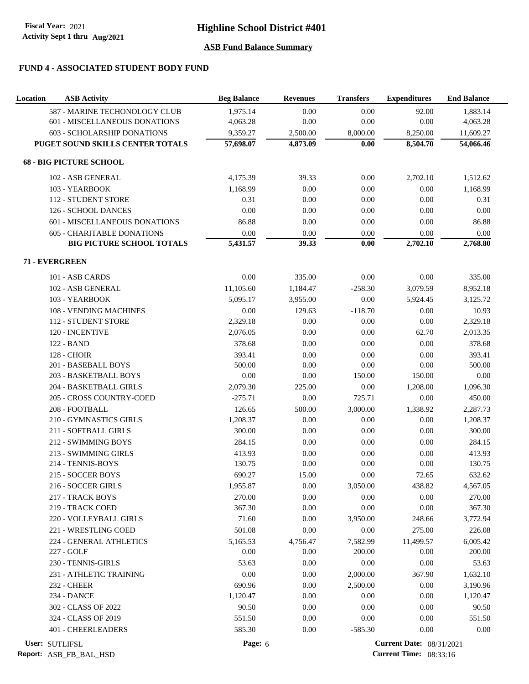# **FUND 4 - ASSOCIATED STUDENT BODY FUND**

| Location | <b>ASB Activity</b>                  | <b>Beg Balance</b> | <b>Revenues</b> | <b>Transfers</b> | <b>Expenditures</b>             | <b>End Balance</b> |
|----------|--------------------------------------|--------------------|-----------------|------------------|---------------------------------|--------------------|
|          | 587 - MARINE TECHONOLOGY CLUB        | 1,975.14           | 0.00            | 0.00             | 92.00                           | 1,883.14           |
|          | 601 - MISCELLANEOUS DONATIONS        | 4,063.28           | 0.00            | 0.00             | 0.00                            | 4,063.28           |
|          | 603 - SCHOLARSHIP DONATIONS          | 9,359.27           | 2,500.00        | 8,000.00         | 8,250.00                        | 11,609.27          |
|          | PUGET SOUND SKILLS CENTER TOTALS     | 57,698.07          | 4,873.09        | 0.00             | 8,504.70                        | 54,066.46          |
|          | <b>68 - BIG PICTURE SCHOOL</b>       |                    |                 |                  |                                 |                    |
|          | 102 - ASB GENERAL                    | 4,175.39           | 39.33           | 0.00             | 2,702.10                        | 1,512.62           |
|          | 103 - YEARBOOK                       | 1,168.99           | 0.00            | 0.00             | 0.00                            | 1,168.99           |
|          | <b>112 - STUDENT STORE</b>           | 0.31               | 0.00            | 0.00             | 0.00                            | 0.31               |
|          | 126 - SCHOOL DANCES                  | 0.00               | 0.00            | $0.00\,$         | 0.00                            | $0.00\,$           |
|          | 601 - MISCELLANEOUS DONATIONS        | 86.88              | 0.00            | $0.00\,$         | 0.00                            | 86.88              |
|          | <b>605 - CHARITABLE DONATIONS</b>    | $0.00\,$           | 0.00            | 0.00             | 0.00                            | 0.00               |
|          | <b>BIG PICTURE SCHOOL TOTALS</b>     | 5,431.57           | 39.33           | 0.00             | 2,702.10                        | 2,768.80           |
|          | 71 - EVERGREEN                       |                    |                 |                  |                                 |                    |
|          | 101 - ASB CARDS                      | 0.00               | 335.00          | 0.00             | 0.00                            | 335.00             |
|          | 102 - ASB GENERAL                    | 11,105.60          | 1,184.47        | $-258.30$        | 3,079.59                        | 8,952.18           |
|          | 103 - YEARBOOK                       | 5,095.17           | 3,955.00        | $0.00\,$         | 5,924.45                        | 3,125.72           |
|          | 108 - VENDING MACHINES               | 0.00               | 129.63          | $-118.70$        | 0.00                            | 10.93              |
|          | 112 - STUDENT STORE                  | 2,329.18           | 0.00            | 0.00             | 0.00                            | 2,329.18           |
|          | 120 - INCENTIVE                      | 2,076.05           | 0.00            | 0.00             | 62.70                           | 2,013.35           |
|          | 122 - BAND                           | 378.68             | 0.00            | 0.00             | 0.00                            | 378.68             |
|          | <b>128 - CHOIR</b>                   | 393.41             | 0.00            | 0.00             | 0.00                            | 393.41             |
|          | 201 - BASEBALL BOYS                  | 500.00             | 0.00            | $0.00\,$         | 0.00                            | 500.00             |
|          | 203 - BASKETBALL BOYS                | 0.00               | 0.00            | 150.00           | 150.00                          | 0.00               |
|          | 204 - BASKETBALL GIRLS               | 2,079.30           | 225.00          | $0.00\,$         | 1,208.00                        | 1,096.30           |
|          | 205 - CROSS COUNTRY-COED             | $-275.71$          | 0.00            | 725.71           | 0.00                            | 450.00             |
|          | 208 - FOOTBALL                       | 126.65             | 500.00          | 3,000.00         | 1,338.92                        | 2,287.73           |
|          | 210 - GYMNASTICS GIRLS               | 1,208.37           | 0.00            | 0.00             | 0.00                            | 1,208.37           |
|          | 211 - SOFTBALL GIRLS                 | 300.00             | 0.00            | 0.00             | 0.00                            | 300.00             |
|          | 212 - SWIMMING BOYS                  | 284.15             | 0.00            | 0.00             | 0.00                            | 284.15             |
|          | 213 - SWIMMING GIRLS                 | 413.93             |                 |                  |                                 |                    |
|          | 214 - TENNIS-BOYS                    | 130.75             | 0.00<br>0.00    | 0.00<br>0.00     | 0.00<br>0.00                    | 413.93<br>130.75   |
|          | 215 - SOCCER BOYS                    | 690.27             | 15.00           | 0.00             | 72.65                           | 632.62             |
|          |                                      | 1,955.87           |                 |                  |                                 |                    |
|          | 216 - SOCCER GIRLS                   |                    | 0.00            | 3,050.00         | 438.82                          | 4,567.05           |
|          | 217 - TRACK BOYS<br>219 - TRACK COED | 270.00<br>367.30   | 0.00<br>0.00    | 0.00<br>0.00     | 0.00<br>0.00                    | 270.00<br>367.30   |
|          |                                      |                    |                 |                  |                                 |                    |
|          | 220 - VOLLEYBALL GIRLS               | 71.60              | 0.00            | 3,950.00         | 248.66                          | 3,772.94           |
|          | 221 - WRESTLING COED                 | 501.08             | 0.00            | 0.00             | 275.00                          | 226.08             |
|          | 224 - GENERAL ATHLETICS              | 5,165.53           | 4,756.47        | 7,582.99         | 11,499.57                       | 6,005.42           |
|          | 227 - GOLF                           | 0.00               | 0.00            | 200.00           | 0.00                            | 200.00             |
|          | 230 - TENNIS-GIRLS                   | 53.63              | 0.00            | 0.00             | 0.00                            | 53.63              |
|          | 231 - ATHLETIC TRAINING              | 0.00               | 0.00            | 2,000.00         | 367.90                          | 1,632.10           |
|          | <b>232 - CHEER</b>                   | 690.96             | 0.00            | 2,500.00         | 0.00                            | 3,190.96           |
|          | 234 - DANCE                          | 1,120.47           | 0.00            | 0.00             | 0.00                            | 1,120.47           |
|          | 302 - CLASS OF 2022                  | 90.50              | 0.00            | 0.00             | 0.00                            | 90.50              |
|          | 324 - CLASS OF 2019                  | 551.50             | 0.00            | 0.00             | 0.00                            | 551.50             |
|          | 401 - CHEERLEADERS                   | 585.30             | 0.00            | $-585.30$        | 0.00                            | 0.00               |
|          | User: SUTLIFSL                       | Page: 6            |                 |                  | <b>Current Date: 08/31/2021</b> |                    |

**Report:** ASB\_FB\_BAL\_HSD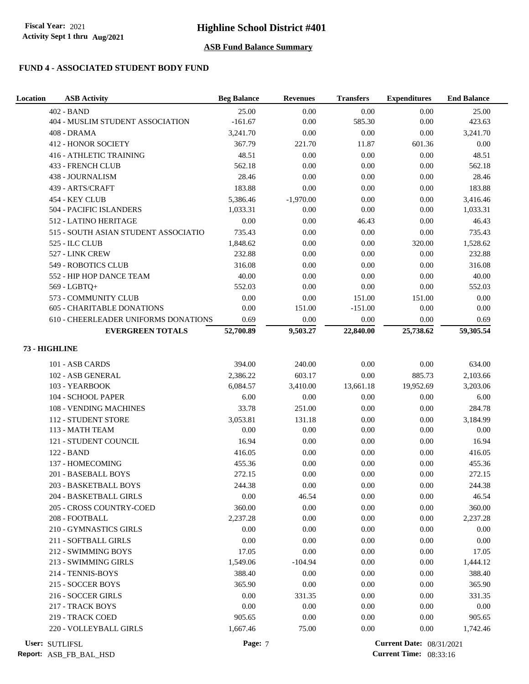# **FUND 4 - ASSOCIATED STUDENT BODY FUND**

| <b>Location</b> | <b>ASB Activity</b>                  | <b>Beg Balance</b> | <b>Revenues</b> | <b>Transfers</b> | <b>Expenditures</b>             | <b>End Balance</b> |
|-----------------|--------------------------------------|--------------------|-----------------|------------------|---------------------------------|--------------------|
|                 | 402 - BAND                           | 25.00              | 0.00            | 0.00             | 0.00                            | 25.00              |
|                 | 404 - MUSLIM STUDENT ASSOCIATION     | $-161.67$          | 0.00            | 585.30           | 0.00                            | 423.63             |
|                 | 408 - DRAMA                          | 3,241.70           | 0.00            | 0.00             | 0.00                            | 3,241.70           |
|                 | <b>412 - HONOR SOCIETY</b>           | 367.79             | 221.70          | 11.87            | 601.36                          | $0.00\,$           |
|                 | <b>416 - ATHLETIC TRAINING</b>       | 48.51              | 0.00            | 0.00             | 0.00                            | 48.51              |
|                 | 433 - FRENCH CLUB                    | 562.18             | 0.00            | $0.00\,$         | 0.00                            | 562.18             |
|                 | 438 - JOURNALISM                     | 28.46              | 0.00            | 0.00             | 0.00                            | 28.46              |
|                 | 439 - ARTS/CRAFT                     | 183.88             | 0.00            | 0.00             | 0.00                            | 183.88             |
|                 | 454 - KEY CLUB                       | 5,386.46           | $-1,970.00$     | 0.00             | 0.00                            | 3,416.46           |
|                 | 504 - PACIFIC ISLANDERS              | 1,033.31           | 0.00            | 0.00             | 0.00                            | 1,033.31           |
|                 | 512 - LATINO HERITAGE                | 0.00               | 0.00            | 46.43            | 0.00                            | 46.43              |
|                 | 515 - SOUTH ASIAN STUDENT ASSOCIATIO | 735.43             | 0.00            | $0.00\,$         | $0.00\,$                        | 735.43             |
|                 | 525 - ILC CLUB                       | 1,848.62           | 0.00            | 0.00             | 320.00                          | 1,528.62           |
|                 | 527 - LINK CREW                      | 232.88             | 0.00            | 0.00             | $0.00\,$                        | 232.88             |
|                 | 549 - ROBOTICS CLUB                  | 316.08             | 0.00            | 0.00             | 0.00                            | 316.08             |
|                 | 552 - HIP HOP DANCE TEAM             | 40.00              | 0.00            | 0.00             | 0.00                            | 40.00              |
|                 | 569 - LGBTQ+                         | 552.03             | 0.00            | 0.00             | 0.00                            | 552.03             |
|                 | 573 - COMMUNITY CLUB                 | 0.00               | 0.00            | 151.00           | 151.00                          | $0.00\,$           |
|                 | 605 - CHARITABLE DONATIONS           | 0.00               | 151.00          | $-151.00$        | 0.00                            | 0.00               |
|                 | 610 - CHEERLEADER UNIFORMS DONATIONS | 0.69               | 0.00            | 0.00             | 0.00                            | 0.69               |
|                 | <b>EVERGREEN TOTALS</b>              | 52,700.89          | 9,503.27        | 22,840.00        | 25,738.62                       | 59,305.54          |
|                 | 73 - HIGHLINE                        |                    |                 |                  |                                 |                    |
|                 | 101 - ASB CARDS                      | 394.00             | 240.00          | 0.00             | 0.00                            | 634.00             |
|                 | 102 - ASB GENERAL                    | 2,386.22           | 603.17          | 0.00             | 885.73                          | 2,103.66           |
|                 | 103 - YEARBOOK                       | 6,084.57           | 3,410.00        | 13,661.18        | 19,952.69                       | 3,203.06           |
|                 | 104 - SCHOOL PAPER                   | 6.00               | $0.00\,$        | 0.00             | 0.00                            | 6.00               |
|                 | 108 - VENDING MACHINES               | 33.78              | 251.00          | 0.00             | $0.00\,$                        | 284.78             |
|                 | 112 - STUDENT STORE                  | 3,053.81           | 131.18          | 0.00             | $0.00\,$                        | 3,184.99           |
|                 | 113 - MATH TEAM                      | 0.00               | 0.00            | $0.00\,$         | 0.00                            | 0.00               |
|                 | 121 - STUDENT COUNCIL                | 16.94              | 0.00            | 0.00             | 0.00                            | 16.94              |
|                 | 122 - BAND                           | 416.05             | 0.00            | 0.00             | 0.00                            | 416.05             |
|                 | 137 - HOMECOMING                     | 455.36             | 0.00            | 0.00             | 0.00                            | 455.36             |
|                 | 201 - BASEBALL BOYS                  | 272.15             | 0.00            | 0.00             | 0.00                            | 272.15             |
|                 | 203 - BASKETBALL BOYS                | 244.38             | 0.00            | 0.00             | 0.00                            | 244.38             |
|                 | 204 - BASKETBALL GIRLS               | $0.00\,$           | 46.54           | $0.00\,$         | 0.00                            | 46.54              |
|                 | 205 - CROSS COUNTRY-COED             | 360.00             | $0.00\,$        | $0.00\,$         | $0.00\,$                        | 360.00             |
|                 | 208 - FOOTBALL                       | 2,237.28           | 0.00            | 0.00             | 0.00                            | 2,237.28           |
|                 | 210 - GYMNASTICS GIRLS               | 0.00               | 0.00            | 0.00             | 0.00                            | 0.00               |
|                 | 211 - SOFTBALL GIRLS                 | 0.00               | 0.00            | 0.00             | 0.00                            | 0.00               |
|                 | 212 - SWIMMING BOYS                  | 17.05              | 0.00            | 0.00             | 0.00                            | 17.05              |
|                 | 213 - SWIMMING GIRLS                 | 1,549.06           | $-104.94$       | 0.00             | 0.00                            | 1,444.12           |
|                 | 214 - TENNIS-BOYS                    | 388.40             | 0.00            | 0.00             | 0.00                            | 388.40             |
|                 | 215 - SOCCER BOYS                    | 365.90             | 0.00            | 0.00             | 0.00                            | 365.90             |
|                 | 216 - SOCCER GIRLS                   | 0.00               | 331.35          | 0.00             | 0.00                            | 331.35             |
|                 | 217 - TRACK BOYS                     | 0.00               | 0.00            | 0.00             | 0.00                            | 0.00               |
|                 | 219 - TRACK COED                     | 905.65             | 0.00            | 0.00             | 0.00                            | 905.65             |
|                 | 220 - VOLLEYBALL GIRLS               | 1,667.46           | 75.00           | 0.00             | 0.00                            | 1,742.46           |
|                 | User: SUTLIFSL                       | Page: 7            |                 |                  | <b>Current Date: 08/31/2021</b> |                    |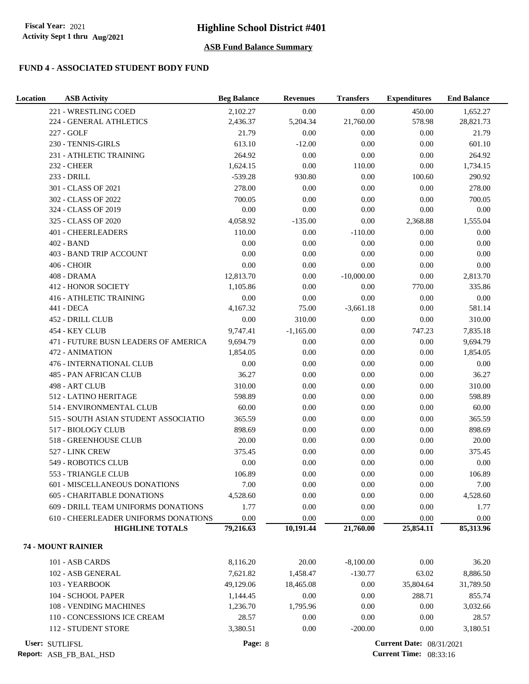### **FUND 4 - ASSOCIATED STUDENT BODY FUND**

| Location | <b>ASB Activity</b>                  | <b>Beg Balance</b> | <b>Revenues</b> | <b>Transfers</b> | <b>Expenditures</b>             | <b>End Balance</b> |
|----------|--------------------------------------|--------------------|-----------------|------------------|---------------------------------|--------------------|
|          | 221 - WRESTLING COED                 | 2,102.27           | 0.00            | 0.00             | 450.00                          | 1,652.27           |
|          | 224 - GENERAL ATHLETICS              | 2,436.37           | 5,204.34        | 21,760.00        | 578.98                          | 28,821.73          |
|          | 227 - GOLF                           | 21.79              | 0.00            | 0.00             | 0.00                            | 21.79              |
|          | 230 - TENNIS-GIRLS                   | 613.10             | $-12.00$        | $0.00\,$         | $0.00\,$                        | 601.10             |
|          | 231 - ATHLETIC TRAINING              | 264.92             | 0.00            | 0.00             | 0.00                            | 264.92             |
|          | <b>232 - CHEER</b>                   | 1,624.15           | 0.00            | 110.00           | 0.00                            | 1,734.15           |
|          | 233 - DRILL                          | $-539.28$          | 930.80          | 0.00             | 100.60                          | 290.92             |
|          | 301 - CLASS OF 2021                  | 278.00             | 0.00            | $0.00\,$         | 0.00                            | 278.00             |
|          | 302 - CLASS OF 2022                  | 700.05             | 0.00            | 0.00             | 0.00                            | 700.05             |
|          | 324 - CLASS OF 2019                  | 0.00               | 0.00            | 0.00             | 0.00                            | 0.00               |
|          | 325 - CLASS OF 2020                  | 4,058.92           | $-135.00$       | 0.00             | 2,368.88                        | 1,555.04           |
|          | 401 - CHEERLEADERS                   | 110.00             | 0.00            | $-110.00$        | 0.00                            | 0.00               |
|          | 402 - BAND                           | 0.00               | 0.00            | 0.00             | 0.00                            | 0.00               |
|          | 403 - BAND TRIP ACCOUNT              | 0.00               | 0.00            | 0.00             | 0.00                            | 0.00               |
|          | <b>406 - CHOIR</b>                   | 0.00               | 0.00            | 0.00             | 0.00                            | 0.00               |
|          | 408 - DRAMA                          | 12,813.70          | 0.00            | $-10,000.00$     | 0.00                            | 2,813.70           |
|          | <b>412 - HONOR SOCIETY</b>           | 1,105.86           | 0.00            | 0.00             | 770.00                          | 335.86             |
|          | <b>416 - ATHLETIC TRAINING</b>       | 0.00               | 0.00            | 0.00             | 0.00                            | 0.00               |
|          | 441 - DECA                           | 4,167.32           | 75.00           | $-3,661.18$      | 0.00                            | 581.14             |
|          | 452 - DRILL CLUB                     | 0.00               | 310.00          | 0.00             | 0.00                            | 310.00             |
|          | 454 - KEY CLUB                       | 9,747.41           | $-1,165.00$     | $0.00\,$         | 747.23                          | 7,835.18           |
|          | 471 - FUTURE BUSN LEADERS OF AMERICA | 9,694.79           | 0.00            | $0.00\,$         | 0.00                            | 9,694.79           |
|          | 472 - ANIMATION                      | 1,854.05           | 0.00            | 0.00             | 0.00                            | 1,854.05           |
|          | <b>476 - INTERNATIONAL CLUB</b>      | 0.00               | 0.00            | 0.00             | 0.00                            | 0.00               |
|          | 485 - PAN AFRICAN CLUB               | 36.27              | 0.00            | $0.00\,$         | 0.00                            | 36.27              |
|          | 498 - ART CLUB                       | 310.00             | 0.00            | 0.00             | 0.00                            | 310.00             |
|          | 512 - LATINO HERITAGE                | 598.89             | 0.00            | 0.00             | 0.00                            | 598.89             |
|          | 514 - ENVIRONMENTAL CLUB             | 60.00              | 0.00            | 0.00             | 0.00                            | 60.00              |
|          | 515 - SOUTH ASIAN STUDENT ASSOCIATIO | 365.59             | 0.00            | $0.00\,$         | $0.00\,$                        | 365.59             |
|          | 517 - BIOLOGY CLUB                   | 898.69             | 0.00            | $0.00\,$         | 0.00                            | 898.69             |
|          | 518 - GREENHOUSE CLUB                | 20.00              | 0.00            | 0.00             | 0.00                            | 20.00              |
|          | 527 - LINK CREW                      | 375.45             | 0.00            | 0.00             | 0.00                            | 375.45             |
|          | 549 - ROBOTICS CLUB                  | 0.00               | 0.00            | 0.00             | 0.00                            | 0.00               |
|          | 553 - TRIANGLE CLUB                  | 106.89             | 0.00            | 0.00             | 0.00                            | 106.89             |
|          | 601 - MISCELLANEOUS DONATIONS        | 7.00               | 0.00            | 0.00             | 0.00                            | 7.00               |
|          | <b>605 - CHARITABLE DONATIONS</b>    | 4,528.60           | 0.00            | 0.00             | 0.00                            | 4,528.60           |
|          | 609 - DRILL TEAM UNIFORMS DONATIONS  | 1.77               | 0.00            | 0.00             | 0.00                            | 1.77               |
|          | 610 - CHEERLEADER UNIFORMS DONATIONS | 0.00               | 0.00            | 0.00             | 0.00<br>25,854.11               | 0.00               |
|          | <b>HIGHLINE TOTALS</b>               | 79,216.63          | 10,191.44       | 21,760.00        |                                 | 85,313.96          |
|          | 74 - MOUNT RAINIER                   |                    |                 |                  |                                 |                    |
|          | 101 - ASB CARDS                      | 8,116.20           | 20.00           | $-8,100.00$      | 0.00                            | 36.20              |
|          | 102 - ASB GENERAL                    | 7,621.82           | 1,458.47        | $-130.77$        | 63.02                           | 8,886.50           |
|          | 103 - YEARBOOK                       | 49,129.06          | 18,465.08       | 0.00             | 35,804.64                       | 31,789.50          |
|          | 104 - SCHOOL PAPER                   | 1,144.45           | 0.00            | 0.00             | 288.71                          | 855.74             |
|          | 108 - VENDING MACHINES               | 1,236.70           | 1,795.96        | 0.00             | 0.00                            | 3,032.66           |
|          | 110 - CONCESSIONS ICE CREAM          | 28.57              | 0.00            | 0.00             | 0.00                            | 28.57              |
|          | 112 - STUDENT STORE                  | 3,380.51           | 0.00            | $-200.00$        | 0.00                            | 3,180.51           |
|          | User: SUTLIFSL                       | Page: 8            |                 |                  | <b>Current Date: 08/31/2021</b> |                    |

**Report:** ASB\_FB\_BAL\_HSD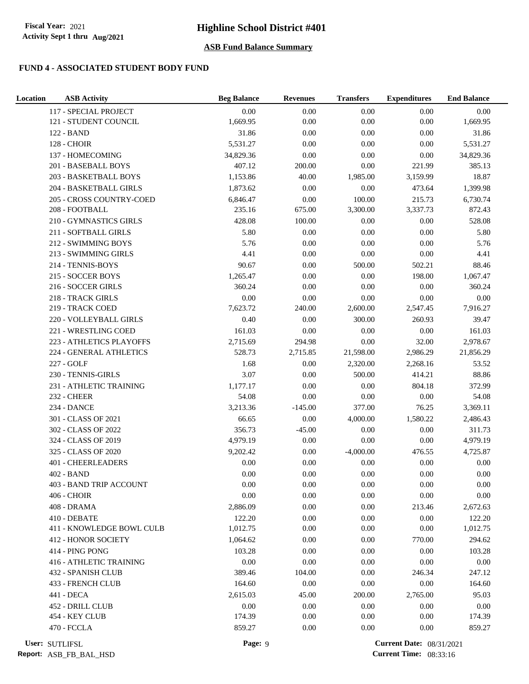# **FUND 4 - ASSOCIATED STUDENT BODY FUND**

| Location           | <b>ASB Activity</b>            | <b>Beg Balance</b> | <b>Revenues</b> | <b>Transfers</b> | <b>Expenditures</b> | <b>End Balance</b> |
|--------------------|--------------------------------|--------------------|-----------------|------------------|---------------------|--------------------|
|                    | 117 - SPECIAL PROJECT          | 0.00               | 0.00            | 0.00             | 0.00                | 0.00               |
|                    | 121 - STUDENT COUNCIL          | 1,669.95           | 0.00            | 0.00             | 0.00                | 1,669.95           |
| 122 - BAND         |                                | 31.86              | 0.00            | 0.00             | 0.00                | 31.86              |
| <b>128 - CHOIR</b> |                                | 5,531.27           | 0.00            | $0.00\,$         | $0.00\,$            | 5,531.27           |
|                    | 137 - HOMECOMING               | 34,829.36          | 0.00            | 0.00             | 0.00                | 34,829.36          |
|                    | 201 - BASEBALL BOYS            | 407.12             | 200.00          | $0.00\,$         | 221.99              | 385.13             |
|                    | 203 - BASKETBALL BOYS          | 1,153.86           | 40.00           | 1,985.00         | 3,159.99            | 18.87              |
|                    | 204 - BASKETBALL GIRLS         | 1,873.62           | 0.00            | 0.00             | 473.64              | 1,399.98           |
|                    | 205 - CROSS COUNTRY-COED       | 6,846.47           | 0.00            | 100.00           | 215.73              | 6,730.74           |
|                    | 208 - FOOTBALL                 | 235.16             | 675.00          | 3,300.00         | 3,337.73            | 872.43             |
|                    | 210 - GYMNASTICS GIRLS         | 428.08             | 100.00          | 0.00             | $0.00\,$            | 528.08             |
|                    | 211 - SOFTBALL GIRLS           | 5.80               | $0.00\,$        | $0.00\,$         | $0.00\,$            | 5.80               |
|                    | 212 - SWIMMING BOYS            | 5.76               | 0.00            | $0.00\,$         | 0.00                | 5.76               |
|                    | 213 - SWIMMING GIRLS           | 4.41               | 0.00            | $0.00\,$         | 0.00                | 4.41               |
|                    | 214 - TENNIS-BOYS              | 90.67              | 0.00            | 500.00           | 502.21              | 88.46              |
|                    | 215 - SOCCER BOYS              | 1,265.47           | 0.00            | 0.00             | 198.00              | 1,067.47           |
|                    | 216 - SOCCER GIRLS             | 360.24             | 0.00            | 0.00             | 0.00                | 360.24             |
|                    | 218 - TRACK GIRLS              | 0.00               | 0.00            | 0.00             | 0.00                | $0.00\,$           |
|                    | 219 - TRACK COED               | 7,623.72           | 240.00          | 2,600.00         | 2,547.45            | 7,916.27           |
|                    | 220 - VOLLEYBALL GIRLS         | 0.40               | 0.00            | 300.00           | 260.93              | 39.47              |
|                    | 221 - WRESTLING COED           | 161.03             | 0.00            | $0.00\,$         | $0.00\,$            | 161.03             |
|                    | 223 - ATHLETICS PLAYOFFS       | 2,715.69           | 294.98          | 0.00             | 32.00               | 2,978.67           |
|                    | 224 - GENERAL ATHLETICS        | 528.73             | 2,715.85        | 21,598.00        | 2,986.29            | 21,856.29          |
| 227 - GOLF         |                                | 1.68               | 0.00            | 2,320.00         | 2,268.16            | 53.52              |
|                    | 230 - TENNIS-GIRLS             | 3.07               | 0.00            | 500.00           | 414.21              | 88.86              |
|                    | 231 - ATHLETIC TRAINING        | 1,177.17           | 0.00            | 0.00             | 804.18              | 372.99             |
| <b>232 - CHEER</b> |                                | 54.08              | 0.00            | 0.00             | $0.00\,$            | 54.08              |
| 234 - DANCE        |                                | 3,213.36           | $-145.00$       | 377.00           | 76.25               | 3,369.11           |
|                    | 301 - CLASS OF 2021            | 66.65              | 0.00            | 4,000.00         | 1,580.22            | 2,486.43           |
|                    | 302 - CLASS OF 2022            | 356.73             | $-45.00$        | $0.00\,$         | 0.00                | 311.73             |
|                    | 324 - CLASS OF 2019            | 4,979.19           | 0.00            | $0.00\,$         | 0.00                | 4,979.19           |
|                    | 325 - CLASS OF 2020            | 9,202.42           | 0.00            | $-4,000.00$      | 476.55              | 4,725.87           |
|                    | 401 - CHEERLEADERS             | 0.00               | 0.00            | 0.00             | $0.00\,$            | 0.00               |
| 402 - BAND         |                                | 0.00               | 0.00            | 0.00             | 0.00                | 0.00               |
|                    | 403 - BAND TRIP ACCOUNT        | 0.00               | 0.00            | 0.00             | 0.00                | 0.00               |
| 406 - CHOIR        |                                | 0.00               | 0.00            | 0.00             | $0.00\,$            | 0.00               |
| 408 - DRAMA        |                                | 2,886.09           | 0.00            | 0.00             | 213.46              | 2,672.63           |
| 410 - DEBATE       |                                | 122.20             | 0.00            | $0.00\,$         | 0.00                | 122.20             |
|                    | 411 - KNOWLEDGE BOWL CULB      | 1,012.75           | 0.00            | 0.00             | 0.00                | 1,012.75           |
|                    | <b>412 - HONOR SOCIETY</b>     | 1,064.62           | 0.00            | 0.00             | 770.00              | 294.62             |
|                    | 414 - PING PONG                | 103.28             | 0.00            | 0.00             | 0.00                | 103.28             |
|                    | <b>416 - ATHLETIC TRAINING</b> | 0.00               | 0.00            | 0.00             | 0.00                | 0.00               |
|                    | 432 - SPANISH CLUB             | 389.46             | 104.00          | 0.00             | 246.34              | 247.12             |
|                    | 433 - FRENCH CLUB              | 164.60             | 0.00            | 0.00             | 0.00                | 164.60             |
| 441 - DECA         |                                | 2,615.03           | 45.00           | 200.00           | 2,765.00            | 95.03              |
|                    | 452 - DRILL CLUB               | 0.00               | 0.00            | 0.00             | 0.00                | 0.00               |
|                    | 454 - KEY CLUB                 | 174.39             | 0.00            | 0.00             | 0.00                | 174.39             |
| 470 - FCCLA        |                                | 859.27             | 0.00            | 0.00             | 0.00                | 859.27             |
|                    |                                |                    |                 |                  |                     |                    |

**User: Page:** 9 **Current Date:** 08/31/2021 **Current Time:** 08:33:16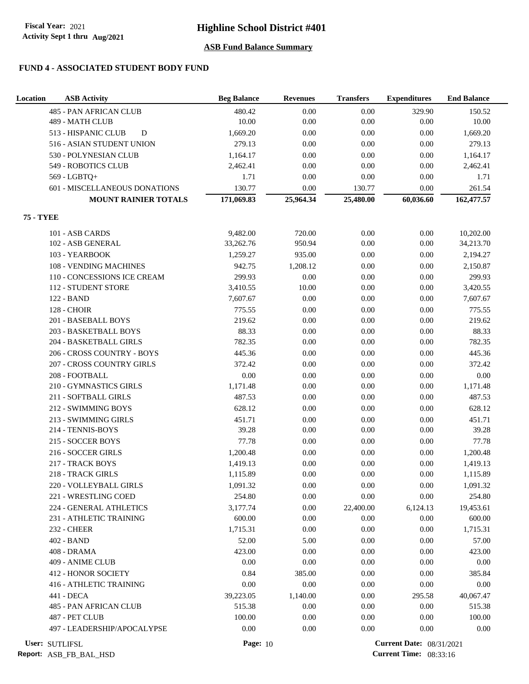# **Highline School District #401**

### **ASB Fund Balance Summary**

### **FUND 4 - ASSOCIATED STUDENT BODY FUND**

| Location         | <b>ASB Activity</b>              | <b>Beg Balance</b> | <b>Revenues</b> | <b>Transfers</b> | <b>Expenditures</b>             | <b>End Balance</b> |
|------------------|----------------------------------|--------------------|-----------------|------------------|---------------------------------|--------------------|
|                  | <b>485 - PAN AFRICAN CLUB</b>    | 480.42             | 0.00            | 0.00             | 329.90                          | 150.52             |
|                  | 489 - MATH CLUB                  | 10.00              | 0.00            | 0.00             | 0.00                            | 10.00              |
|                  | D<br>513 - HISPANIC CLUB         | 1,669.20           | 0.00            | 0.00             | 0.00                            | 1,669.20           |
|                  | 516 - ASIAN STUDENT UNION        | 279.13             | 0.00            | 0.00             | 0.00                            | 279.13             |
|                  | 530 - POLYNESIAN CLUB            | 1,164.17           | 0.00            | 0.00             | 0.00                            | 1,164.17           |
|                  | 549 - ROBOTICS CLUB              | 2,462.41           | 0.00            | $0.00\,$         | 0.00                            | 2,462.41           |
|                  | 569 - LGBTQ+                     | 1.71               | 0.00            | 0.00             | 0.00                            | 1.71               |
|                  | 601 - MISCELLANEOUS DONATIONS    | 130.77             | 0.00            | 130.77           | 0.00                            | 261.54             |
|                  | <b>MOUNT RAINIER TOTALS</b>      | 171,069.83         | 25,964.34       | 25,480.00        | 60,036.60                       | 162,477.57         |
| <b>75 - TYEE</b> |                                  |                    |                 |                  |                                 |                    |
|                  | 101 - ASB CARDS                  | 9,482.00           | 720.00          | 0.00             | 0.00                            | 10,202.00          |
|                  | 102 - ASB GENERAL                | 33,262.76          | 950.94          | $0.00\,$         | 0.00                            | 34,213.70          |
|                  | 103 - YEARBOOK                   | 1,259.27           | 935.00          | 0.00             | 0.00                            | 2,194.27           |
|                  | 108 - VENDING MACHINES           | 942.75             | 1,208.12        | 0.00             | 0.00                            | 2,150.87           |
|                  | 110 - CONCESSIONS ICE CREAM      | 299.93             | 0.00            | 0.00             | 0.00                            | 299.93             |
|                  | 112 - STUDENT STORE              | 3,410.55           | 10.00           | $0.00\,$         | 0.00                            | 3,420.55           |
|                  | 122 - BAND                       | 7,607.67           | 0.00            | 0.00             | 0.00                            | 7,607.67           |
|                  | <b>128 - CHOIR</b>               | 775.55             | 0.00            | 0.00             | 0.00                            | 775.55             |
|                  | 201 - BASEBALL BOYS              | 219.62             | 0.00            | $0.00\,$         | 0.00                            | 219.62             |
|                  | 203 - BASKETBALL BOYS            | 88.33              | 0.00            | $0.00\,$         | 0.00                            | 88.33              |
|                  | 204 - BASKETBALL GIRLS           | 782.35             | 0.00            | $0.00\,$         | 0.00                            | 782.35             |
|                  | 206 - CROSS COUNTRY - BOYS       | 445.36             | 0.00            | 0.00             | 0.00                            | 445.36             |
|                  | <b>207 - CROSS COUNTRY GIRLS</b> | 372.42             | 0.00            | 0.00             | 0.00                            | 372.42             |
|                  | 208 - FOOTBALL                   | 0.00               | 0.00            | 0.00             | 0.00                            | $0.00\,$           |
|                  | 210 - GYMNASTICS GIRLS           | 1,171.48           | 0.00            | 0.00             | 0.00                            | 1,171.48           |
|                  | 211 - SOFTBALL GIRLS             | 487.53             | 0.00            | 0.00             | 0.00                            | 487.53             |
|                  | 212 - SWIMMING BOYS              | 628.12             | 0.00            | 0.00             | 0.00                            | 628.12             |
|                  | 213 - SWIMMING GIRLS             | 451.71             | 0.00            | $0.00\,$         | 0.00                            | 451.71             |
|                  | 214 - TENNIS-BOYS                | 39.28              | 0.00            | $0.00\,$         | 0.00                            | 39.28              |
|                  | 215 - SOCCER BOYS                | 77.78              | 0.00            | 0.00             | 0.00                            | 77.78              |
|                  | 216 - SOCCER GIRLS               | 1,200.48           | 0.00            | 0.00             | 0.00                            | 1,200.48           |
|                  | 217 - TRACK BOYS                 | 1,419.13           | 0.00            | 0.00             | 0.00                            | 1,419.13           |
|                  | 218 - TRACK GIRLS                | 1,115.89           | 0.00            | 0.00             | 0.00                            | 1,115.89           |
|                  | 220 - VOLLEYBALL GIRLS           | 1,091.32           | 0.00            | 0.00             | 0.00                            | 1,091.32           |
|                  | 221 - WRESTLING COED             | 254.80             | 0.00            | $0.00\,$         | 0.00                            | 254.80             |
|                  | 224 - GENERAL ATHLETICS          | 3,177.74           | 0.00            | 22,400.00        | 6,124.13                        | 19,453.61          |
|                  | 231 - ATHLETIC TRAINING          | 600.00             | 0.00            | 0.00             | 0.00                            | 600.00             |
|                  | <b>232 - CHEER</b>               | 1,715.31           | 0.00            | 0.00             | 0.00                            | 1,715.31           |
|                  | 402 - BAND                       | 52.00              | 5.00            | 0.00             | 0.00                            | 57.00              |
|                  | 408 - DRAMA                      | 423.00             | 0.00            | 0.00             | 0.00                            | 423.00             |
|                  | 409 - ANIME CLUB                 | 0.00               | 0.00            | 0.00             | 0.00                            | 0.00               |
|                  | <b>412 - HONOR SOCIETY</b>       | 0.84               | 385.00          | 0.00             | 0.00                            | 385.84             |
|                  | <b>416 - ATHLETIC TRAINING</b>   | 0.00               | 0.00            | 0.00             | 0.00                            | 0.00               |
|                  | 441 - DECA                       | 39,223.05          | 1,140.00        | 0.00             | 295.58                          | 40,067.47          |
|                  | 485 - PAN AFRICAN CLUB           | 515.38             | 0.00            | 0.00             | 0.00                            | 515.38             |
|                  | 487 - PET CLUB                   | 100.00             | 0.00            | 0.00             | 0.00                            | 100.00             |
|                  | 497 - LEADERSHIP/APOCALYPSE      | 0.00               | 0.00            | 0.00             | 0.00                            | 0.00               |
| User: SUTLIFSL   |                                  | <b>Page: 10</b>    |                 |                  | <b>Current Date: 08/31/2021</b> |                    |

**Report:** ASB\_FB\_BAL\_HSD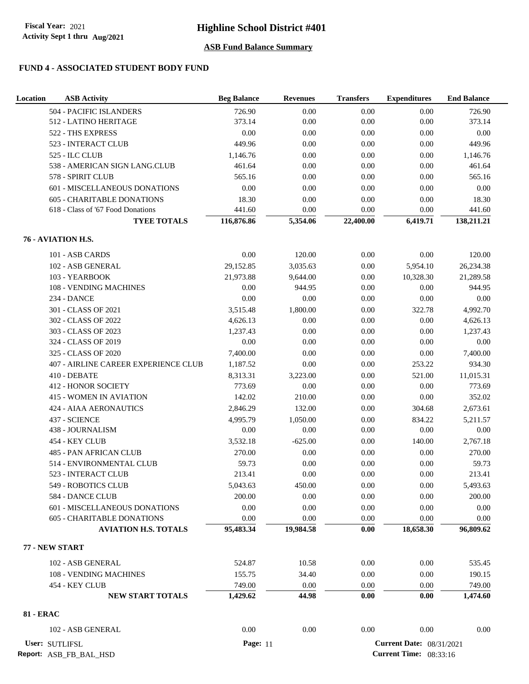### **FUND 4 - ASSOCIATED STUDENT BODY FUND**

| Location         | <b>ASB Activity</b>                      | <b>Beg Balance</b> | <b>Revenues</b> | <b>Transfers</b> | <b>Expenditures</b>                                              | <b>End Balance</b> |
|------------------|------------------------------------------|--------------------|-----------------|------------------|------------------------------------------------------------------|--------------------|
|                  | 504 - PACIFIC ISLANDERS                  | 726.90             | 0.00            | 0.00             | 0.00                                                             | 726.90             |
|                  | 512 - LATINO HERITAGE                    | 373.14             | 0.00            | 0.00             | 0.00                                                             | 373.14             |
|                  | 522 - THS EXPRESS                        | 0.00               | 0.00            | 0.00             | 0.00                                                             | 0.00               |
|                  | 523 - INTERACT CLUB                      | 449.96             | 0.00            | 0.00             | $0.00\,$                                                         | 449.96             |
|                  | 525 - ILC CLUB                           | 1,146.76           | 0.00            | 0.00             | 0.00                                                             | 1,146.76           |
|                  | 538 - AMERICAN SIGN LANG.CLUB            | 461.64             | 0.00            | 0.00             | 0.00                                                             | 461.64             |
|                  | 578 - SPIRIT CLUB                        | 565.16             | 0.00            | 0.00             | 0.00                                                             | 565.16             |
|                  | 601 - MISCELLANEOUS DONATIONS            | 0.00               | 0.00            | 0.00             | 0.00                                                             | 0.00               |
|                  | <b>605 - CHARITABLE DONATIONS</b>        | 18.30              | 0.00            | 0.00             | 0.00                                                             | 18.30              |
|                  | 618 - Class of '67 Food Donations        | 441.60             | 0.00            | 0.00             | 0.00                                                             | 441.60             |
|                  | <b>TYEE TOTALS</b>                       | 116,876.86         | 5,354.06        | 22,400.00        | 6,419.71                                                         | 138,211.21         |
|                  | 76 - AVIATION H.S.                       |                    |                 |                  |                                                                  |                    |
|                  | 101 - ASB CARDS                          | 0.00               | 120.00          | 0.00             | 0.00                                                             | 120.00             |
|                  | 102 - ASB GENERAL                        | 29,152.85          | 3,035.63        | 0.00             | 5,954.10                                                         | 26,234.38          |
|                  | 103 - YEARBOOK                           | 21,973.88          | 9,644.00        | 0.00             | 10,328.30                                                        | 21,289.58          |
|                  | 108 - VENDING MACHINES                   | 0.00               | 944.95          | 0.00             | 0.00                                                             | 944.95             |
|                  | <b>234 - DANCE</b>                       | $0.00\,$           | 0.00            | 0.00             | 0.00                                                             | 0.00               |
|                  | 301 - CLASS OF 2021                      | 3.515.48           | 1,800.00        | 0.00             | 322.78                                                           | 4,992.70           |
|                  | 302 - CLASS OF 2022                      | 4,626.13           | 0.00            | 0.00             | 0.00                                                             | 4,626.13           |
|                  | 303 - CLASS OF 2023                      | 1,237.43           | 0.00            | 0.00             | 0.00                                                             | 1,237.43           |
|                  | 324 - CLASS OF 2019                      | 0.00               | 0.00            | 0.00             | 0.00                                                             | 0.00               |
|                  | 325 - CLASS OF 2020                      | 7,400.00           | 0.00            | 0.00             | 0.00                                                             | 7,400.00           |
|                  | 407 - AIRLINE CAREER EXPERIENCE CLUB     | 1,187.52           | 0.00            | 0.00             | 253.22                                                           | 934.30             |
|                  | 410 - DEBATE                             | 8,313.31           | 3,223.00        | 0.00             | 521.00                                                           | 11,015.31          |
|                  | <b>412 - HONOR SOCIETY</b>               | 773.69             | 0.00            | 0.00             | 0.00                                                             | 773.69             |
|                  | <b>415 - WOMEN IN AVIATION</b>           | 142.02             | 210.00          | 0.00             | $0.00\,$                                                         | 352.02             |
|                  | <b>424 - AIAA AERONAUTICS</b>            | 2,846.29           | 132.00          | 0.00             | 304.68                                                           | 2,673.61           |
|                  | 437 - SCIENCE                            | 4,995.79           | 1,050.00        | 0.00             | 834.22                                                           | 5,211.57           |
|                  | 438 - JOURNALISM                         | 0.00               | 0.00            | 0.00             | 0.00                                                             | 0.00               |
|                  | 454 - KEY CLUB                           | 3,532.18           | $-625.00$       | 0.00             | 140.00                                                           | 2,767.18           |
|                  | <b>485 - PAN AFRICAN CLUB</b>            | 270.00             | 0.00            | 0.00             | 0.00                                                             | 270.00             |
|                  | 514 - ENVIRONMENTAL CLUB                 | 59.73              | 0.00            | 0.00             | 0.00                                                             | 59.73              |
|                  | 523 - INTERACT CLUB                      | 213.41             | 0.00            | 0.00             | 0.00                                                             | 213.41             |
|                  | 549 - ROBOTICS CLUB                      | 5,043.63           | 450.00          | 0.00             | 0.00                                                             | 5,493.63           |
|                  | 584 - DANCE CLUB                         | 200.00             | 0.00            | 0.00             | $0.00\,$                                                         | 200.00             |
|                  | 601 - MISCELLANEOUS DONATIONS            | 0.00               | 0.00            | 0.00             | 0.00                                                             | 0.00               |
|                  | 605 - CHARITABLE DONATIONS               | 0.00               | 0.00            | 0.00             | 0.00                                                             | 0.00               |
|                  | <b>AVIATION H.S. TOTALS</b>              | 95,483.34          | 19,984.58       | $0.00\,$         | 18,658.30                                                        | 96,809.62          |
|                  | 77 - NEW START                           |                    |                 |                  |                                                                  |                    |
|                  | 102 - ASB GENERAL                        | 524.87             | 10.58           | 0.00             | 0.00                                                             | 535.45             |
|                  | 108 - VENDING MACHINES                   | 155.75             | 34.40           | 0.00             | 0.00                                                             | 190.15             |
|                  | 454 - KEY CLUB                           | 749.00             | 0.00            | 0.00             | 0.00                                                             | 749.00             |
|                  | <b>NEW START TOTALS</b>                  | 1,429.62           | 44.98           | 0.00             | 0.00                                                             | 1,474.60           |
| <b>81 - ERAC</b> |                                          |                    |                 |                  |                                                                  |                    |
|                  | 102 - ASB GENERAL                        | 0.00               | $0.00\,$        | 0.00             | 0.00                                                             | 0.00               |
|                  | User: SUTLIFSL<br>Report: ASB_FB_BAL_HSD | <b>Page: 11</b>    |                 |                  | <b>Current Date: 08/31/2021</b><br><b>Current Time:</b> 08:33:16 |                    |